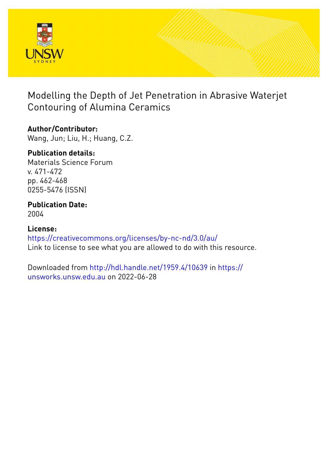

# Modelling the Depth of Jet Penetration in Abrasive Waterjet Contouring of Alumina Ceramics

# **Author/Contributor:**

Wang, Jun; Liu, H.; Huang, C.Z.

# **Publication details:**

Materials Science Forum v. 471-472 pp. 462-468 0255-5476 (ISSN)

### **Publication Date:** 2004

## **License:** <https://creativecommons.org/licenses/by-nc-nd/3.0/au/> Link to license to see what you are allowed to do with this resource.

Downloaded from <http://hdl.handle.net/1959.4/10639> in [https://](https://unsworks.unsw.edu.au) [unsworks.unsw.edu.au](https://unsworks.unsw.edu.au) on 2022-06-28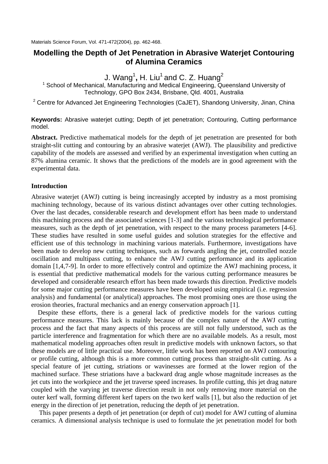## **Modelling the Depth of Jet Penetration in Abrasive Waterjet Contouring of Alumina Ceramics**

J. Wang<sup>1</sup>, H. Liu<sup>1</sup> and C. Z. Huang<sup>2</sup>

<sup>1</sup> School of Mechanical, Manufacturing and Medical Engineering, Queensland University of Technology, GPO Box 2434, Brisbane, Qld. 4001, Australia

<sup>2</sup> Centre for Advanced Jet Engineering Technologies (CaJET), Shandong University, Jinan, China

**Keywords:** Abrasive waterjet cutting; Depth of jet penetration; Contouring, Cutting performance model.

**Abstract.** Predictive mathematical models for the depth of jet penetration are presented for both straight-slit cutting and contouring by an abrasive waterjet (AWJ). The plausibility and predictive capability of the models are assessed and verified by an experimental investigation when cutting an 87% alumina ceramic. It shows that the predictions of the models are in good agreement with the experimental data.

#### **Introduction**

Abrasive waterjet (AWJ) cutting is being increasingly accepted by industry as a most promising machining technology, because of its various distinct advantages over other cutting technologies. Over the last decades, considerable research and development effort has been made to understand this machining process and the associated sciences [1-3] and the various technological performance measures, such as the depth of jet penetration, with respect to the many process parameters [4-6]. These studies have resulted in some useful guides and solution strategies for the effective and efficient use of this technology in machining various materials. Furthermore, investigations have been made to develop new cutting techniques, such as forwards angling the jet, controlled nozzle oscillation and multipass cutting, to enhance the AWJ cutting performance and its application domain [1,4,7-9]. In order to more effectively control and optimize the AWJ machining process, it is essential that predictive mathematical models for the various cutting performance measures be developed and considerable research effort has been made towards this direction. Predictive models for some major cutting performance measures have been developed using empirical (i.e. regression analysis) and fundamental (or analytical) approaches. The most promising ones are those using the erosion theories, fractural mechanics and an energy conservation approach [1].

Despite these efforts, there is a general lack of predictive models for the various cutting performance measures. This lack is mainly because of the complex nature of the AWJ cutting process and the fact that many aspects of this process are still not fully understood, such as the particle interference and fragmentation for which there are no available models. As a result, most mathematical modeling approaches often result in predictive models with unknown factors, so that these models are of little practical use. Moreover, little work has been reported on AWJ contouring or profile cutting, although this is a more common cutting process than straight-slit cutting. As a special feature of jet cutting, striations or wavinesses are formed at the lower region of the machined surface. These striations have a backward drag angle whose magnitude increases as the jet cuts into the workpiece and the jet traverse speed increases. In profile cutting, this jet drag nature coupled with the varying jet traverse direction result in not only removing more material on the outer kerf wall, forming different kerf tapers on the two kerf walls [1], but also the reduction of jet energy in the direction of jet penetration, reducing the depth of jet penetration.

This paper presents a depth of jet penetration (or depth of cut) model for AWJ cutting of alumina ceramics. A dimensional analysis technique is used to formulate the jet penetration model for both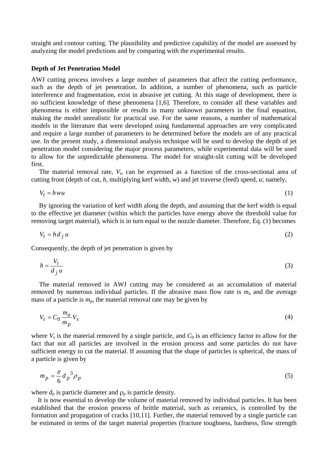straight and contour cutting. The plausibility and predictive capability of the model are assessed by analyzing the model predictions and by comparing with the experimental results.

#### **Depth of Jet Penetration Model**

AWJ cutting process involves a large number of parameters that affect the cutting performance, such as the depth of jet penetration. In addition, a number of phenomena, such as particle interference and fragmentation, exist in abrasive jet cutting. At this stage of development, there is no sufficient knowledge of these phenomena [1,6]. Therefore, to consider all these variables and phenomena is either impossible or results in many unknown parameters in the final equation, making the model unrealistic for practical use. For the same reasons, a number of mathematical models in the literature that were developed using fundamental approaches are very complicated and require a large number of parameters to be determined before the models are of any practical use. In the present study, a dimensional analysis technique will be used to develop the depth of jet penetration model considering the major process parameters, while experimental data will be used to allow for the unpredictable phenomena. The model for straight-slit cutting will be developed first.

The material removal rate,  $V_t$ , can be expressed as a function of the cross-sectional area of cutting front (depth of cut, *h*, multiplying kerf width, *w*) and jet traverse (feed) speed, *u*; namely,

$$
V_t = h w u \tag{1}
$$

By ignoring the variation of kerf width along the depth, and assuming that the kerf width is equal to the effective jet diameter (within which the particles have energy above the threshold value for removing target material), which is in turn equal to the nozzle diameter. Therefore, Eq. (1) becomes

$$
V_t = h d_j u \tag{2}
$$

Consequently, the depth of jet penetration is given by

$$
h = \frac{V_t}{d_j u} \tag{3}
$$

The material removed in AWJ cutting may be considered as an accumulation of material removed by numerous individual particles. If the abrasive mass flow rate is  $m_a$  and the average mass of a particle is  $m_p$ , the material removal rate may be given by

$$
V_t = C_0 \frac{m_a}{m_p} V_s \tag{4}
$$

where  $V_s$  is the material removed by a single particle, and  $C_0$  is an efficiency factor to allow for the fact that not all particles are involved in the erosion process and some particles do not have sufficient energy to cut the material. If assuming that the shape of particles is spherical, the mass of a particle is given by

$$
m_p = \frac{\pi}{6} d_p^3 \rho_p \tag{5}
$$

where  $d_p$  is particle diameter and  $\rho_p$  is particle density.

It is now essential to develop the volume of material removed by individual particles. It has been established that the erosion process of brittle material, such as ceramics, is controlled by the formation and propagation of cracks [10,11]. Further, the material removed by a single particle can be estimated in terms of the target material properties (fracture toughness, hardness, flow strength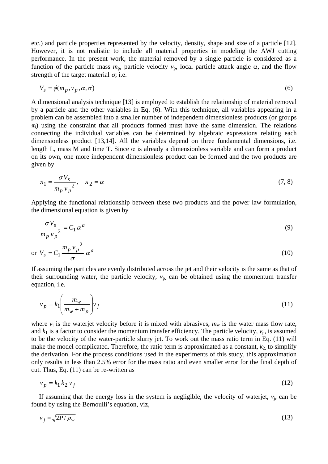etc.) and particle properties represented by the velocity, density, shape and size of a particle [12]. However, it is not realistic to include all material properties in modeling the AWJ cutting performance. In the present work, the material removed by a single particle is considered as a function of the particle mass  $m_p$ , particle velocity  $v_p$ , local particle attack angle α, and the flow strength of the target material  $\sigma$ , i.e.

$$
V_s = \phi(m_p, v_p, \alpha, \sigma) \tag{6}
$$

A dimensional analysis technique [13] is employed to establish the relationship of material removal by a particle and the other variables in Eq. (6). With this technique, all variables appearing in a problem can be assembled into a smaller number of independent dimensionless products (or groups  $\pi$ <sub>i</sub>) using the constraint that all products formed must have the same dimension. The relations connecting the individual variables can be determined by algebraic expressions relating each dimensionless product [13,14]. All the variables depend on three fundamental dimensions, i.e. length L, mass M and time T. Since  $\alpha$  is already a dimensionless variable and can form a product on its own, one more independent dimensionless product can be formed and the two products are given by

$$
\pi_1 = \frac{\sigma V_s}{m_p v_p^2}, \quad \pi_2 = \alpha \tag{7, 8}
$$

Applying the functional relationship between these two products and the power law formulation, the dimensional equation is given by

$$
\frac{\sigma V_s}{m_p v_p^2} = C_1 \alpha^a \tag{9}
$$

$$
\text{or } V_s = C_1 \frac{m_p v_p^2}{\sigma} \alpha^a \tag{10}
$$

If assuming the particles are evenly distributed across the jet and their velocity is the same as that of their surrounding water, the particle velocity,  $v_p$  can be obtained using the momentum transfer equation, i.e.

$$
v_p = k_1 \left(\frac{m_w}{m_w + m_p}\right) v_j \tag{11}
$$

where  $v_i$  is the waterjet velocity before it is mixed with abrasives,  $m_w$  is the water mass flow rate, and  $k_1$  is a factor to consider the momentum transfer efficiency. The particle velocity,  $v_p$ , is assumed to be the velocity of the water-particle slurry jet. To work out the mass ratio term in Eq. (11) will make the model complicated. Therefore, the ratio term is approximated as a constant,  $k_2$  to simplify the derivation. For the process conditions used in the experiments of this study, this approximation only results in less than 2.5% error for the mass ratio and even smaller error for the final depth of cut. Thus, Eq. (11) can be re-written as

$$
v_p = k_1 k_2 v_j \tag{12}
$$

If assuming that the energy loss in the system is negligible, the velocity of waterjet,  $v_i$ , can be found by using the Bernoulli's equation, viz,

$$
v_j = \sqrt{2P/\rho_w} \tag{13}
$$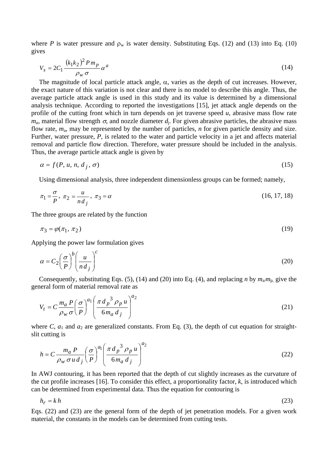where *P* is water pressure and  $\rho_w$  is water density. Substituting Eqs. (12) and (13) into Eq. (10) gives

$$
V_s = 2C_1 \frac{\left(k_1 k_2\right)^2 P m_p}{\rho_w \sigma} \alpha^a \tag{14}
$$

The magnitude of local particle attack angle,  $\alpha$ , varies as the depth of cut increases. However, the exact nature of this variation is not clear and there is no model to describe this angle. Thus, the average particle attack angle is used in this study and its value is determined by a dimensional analysis technique. According to reported the investigations [15], jet attack angle depends on the profile of the cutting front which in turn depends on jet traverse speed *u*, abrasive mass flow rate  $m_a$ , material flow strength  $\sigma$ , and nozzle diameter  $d_i$ . For given abrasive particles, the abrasive mass flow rate, *m*a, may be represented by the number of particles, *n* for given particle density and size. Further, water pressure, *P*, is related to the water and particle velocity in a jet and affects material removal and particle flow direction. Therefore, water pressure should be included in the analysis. Thus, the average particle attack angle is given by

$$
\alpha = f(P, u, n, d_j, \sigma) \tag{15}
$$

Using dimensional analysis, three independent dimensionless groups can be formed; namely,

$$
\pi_1 = \frac{\sigma}{P}, \ \pi_2 = \frac{u}{n d_j}, \ \pi_3 = \alpha \tag{16, 17, 18}
$$

The three groups are related by the function

$$
\pi_3 = \varphi(\pi_1, \pi_2) \tag{19}
$$

Applying the power law formulation gives

$$
\alpha = C_2 \left(\frac{\sigma}{P}\right)^b \left(\frac{u}{n d_j}\right)^c \tag{20}
$$

Consequently, substituting Eqs. (5), (14) and (20) into Eq. (4), and replacing *n* by  $m_a/m_p$ , give the general form of material removal rate as

$$
V_t = C \frac{m_a P}{\rho_w \sigma} \left(\frac{\sigma}{P}\right)^{a_1} \left(\frac{\pi d_p^3 \rho_p u}{6m_a d_j}\right)^{a_2}
$$
 (21)

where  $C$ ,  $a_1$  and  $a_2$  are generalized constants. From Eq. (3), the depth of cut equation for straightslit cutting is

$$
h = C \frac{m_a P}{\rho_w \sigma u d_j} \left(\frac{\sigma}{P}\right)^{a_1} \left(\frac{\pi d_p^3 \rho_p u}{6m_a d_j}\right)^{a_2}
$$
 (22)

In AWJ contouring, it has been reported that the depth of cut slightly increases as the curvature of the cut profile increases [16]. To consider this effect, a proportionality factor, *k*, is introduced which can be determined from experimental data. Thus the equation for contouring is

$$
h_r = k h \tag{23}
$$

Eqs. (22) and (23) are the general form of the depth of jet penetration models. For a given work material, the constants in the models can be determined from cutting tests.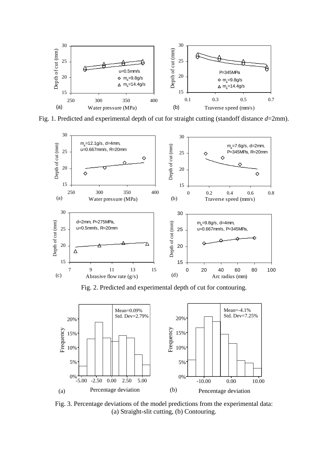

Fig. 1. Predicted and experimental depth of cut for straight cutting (standoff distance *d*=2mm).



Fig. 2. Predicted and experimental depth of cut for contouring.



Fig. 3. Percentage deviations of the model predictions from the experimental data: (a) Straight-slit cutting, (b) Contouring.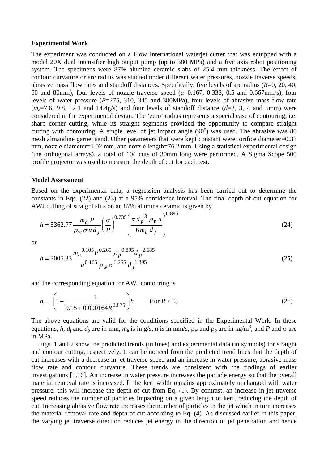#### **Experimental Work**

The experiment was conducted on a Flow International waterjet cutter that was equipped with a model 20X dual intensifier high output pump (up to 380 MPa) and a five axis robot positioning system. The specimens were 87% alumina ceramic slabs of 25.4 mm thickness. The effect of contour curvature or arc radius was studied under different water pressures, nozzle traverse speeds, abrasive mass flow rates and standoff distances. Specifically, five levels of arc radius (*R*=0, 20, 40, 60 and 80mm), four levels of nozzle traverse speed (*u*=0.167, 0.333, 0.5 and 0.667mm/s), four levels of water pressure (*P*=275, 310, 345 and 380MPa), four levels of abrasive mass flow rate  $(m_a=7.6, 9.8, 12.1, and 14.4g/s)$  and four levels of standoff distance  $(d=2, 3, 4, \text{ and } 5\text{mm})$  were considered in the experimental design. The 'zero' radius represents a special case of contouring, i.e. sharp corner cutting, while its straight segments provided the opportunity to compare straight cutting with contouring. A single level of jet impact angle  $(90^{\circ})$  was used. The abrasive was 80 mesh almandine garnet sand. Other parameters that were kept constant were: orifice diameter=0.33 mm, nozzle diameter=1.02 mm, and nozzle length=76.2 mm. Using a statistical experimental design (the orthogonal arrays), a total of 104 cuts of 30mm long were performed. A Sigma Scope 500 profile projector was used to measure the depth of cut for each test.

#### **Model Assessment**

Based on the experimental data, a regression analysis has been carried out to determine the constants in Eqs. (22) and (23) at a 95% confidence interval. The final depth of cut equation for AWJ cutting of straight slits on an 87% alumina ceramic is given by

$$
h = 5362.77 \frac{m_a P}{\rho_w \sigma u d_j} \left(\frac{\sigma}{P}\right)^{0.735} \left(\frac{\pi d_p{}^3 \rho_p u}{6m_a d_j}\right)^{0.895} \tag{24}
$$

or

$$
h = 3005.33 \frac{m_a^{0.105} P^{0.265} \rho_p^{0.895} d_p^{2.685}}{u^{0.105} \rho_w \sigma^{0.265} d_j^{1.895}}
$$
(25)

and the corresponding equation for AWJ contouring is

$$
h_r = \left(1 - \frac{1}{9.15 + 0.000164R^{2.875}}\right)h \qquad (\text{for } R \neq 0)
$$
 (26)

The above equations are valid for the conditions specified in the Experimental Work. In these equations, *h*, *d*<sub>j</sub> and *d*<sub>p</sub> are in mm, *m*<sub>a</sub> is in g/s, *u* is in mm/s,  $\rho_w$  and  $\rho_p$  are in kg/m<sup>3</sup>, and *P* and  $\sigma$  are in MPa.

Figs. 1 and 2 show the predicted trends (in lines) and experimental data (in symbols) for straight and contour cutting, respectively. It can be noticed from the predicted trend lines that the depth of cut increases with a decrease in jet traverse speed and an increase in water pressure, abrasive mass flow rate and contour curvature. These trends are consistent with the findings of earlier investigations [1,16]. An increase in water pressure increases the particle energy so that the overall material removal rate is increased. If the kerf width remains approximately unchanged with water pressure, this will increase the depth of cut from Eq. (1). By contrast, an increase in jet traverse speed reduces the number of particles impacting on a given length of kerf, reducing the depth of cut. Increasing abrasive flow rate increases the number of particles in the jet which in turn increases the material removal rate and depth of cut according to Eq. (4). As discussed earlier in this paper, the varying jet traverse direction reduces jet energy in the direction of jet penetration and hence